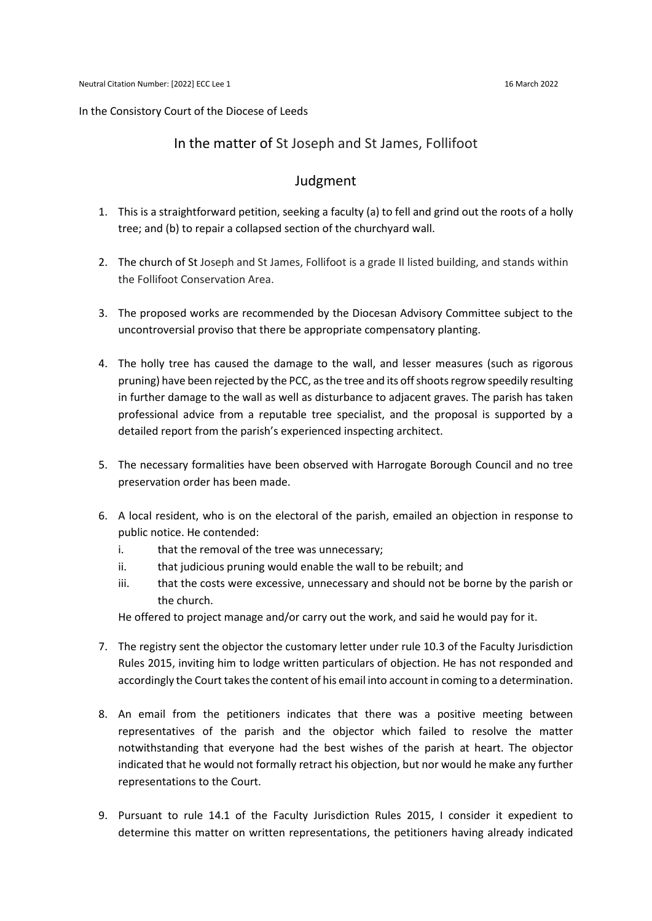## In the Consistory Court of the Diocese of Leeds

## In the matter of St Joseph and St James, Follifoot

## Judgment

- 1. This is a straightforward petition, seeking a faculty (a) to fell and grind out the roots of a holly tree; and (b) to repair a collapsed section of the churchyard wall.
- 2. The church of St Joseph and St James, Follifoot is a grade II listed building, and stands within the Follifoot Conservation Area.
- 3. The proposed works are recommended by the Diocesan Advisory Committee subject to the uncontroversial proviso that there be appropriate compensatory planting.
- 4. The holly tree has caused the damage to the wall, and lesser measures (such as rigorous pruning) have been rejected by the PCC, as the tree and its off shoots regrow speedily resulting in further damage to the wall as well as disturbance to adjacent graves. The parish has taken professional advice from a reputable tree specialist, and the proposal is supported by a detailed report from the parish's experienced inspecting architect.
- 5. The necessary formalities have been observed with Harrogate Borough Council and no tree preservation order has been made.
- 6. A local resident, who is on the electoral of the parish, emailed an objection in response to public notice. He contended:
	- i. that the removal of the tree was unnecessary;
	- ii. that judicious pruning would enable the wall to be rebuilt; and
	- iii. that the costs were excessive, unnecessary and should not be borne by the parish or the church.

He offered to project manage and/or carry out the work, and said he would pay for it.

- 7. The registry sent the objector the customary letter under rule 10.3 of the Faculty Jurisdiction Rules 2015, inviting him to lodge written particulars of objection. He has not responded and accordingly the Court takes the content of his email into account in coming to a determination.
- 8. An email from the petitioners indicates that there was a positive meeting between representatives of the parish and the objector which failed to resolve the matter notwithstanding that everyone had the best wishes of the parish at heart. The objector indicated that he would not formally retract his objection, but nor would he make any further representations to the Court.
- 9. Pursuant to rule 14.1 of the Faculty Jurisdiction Rules 2015, I consider it expedient to determine this matter on written representations, the petitioners having already indicated